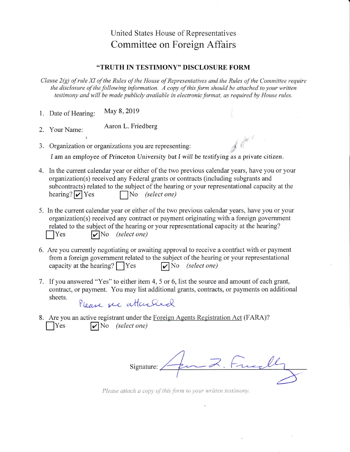## United States House of Representatives Committee on Foreign Affairs

## "TRUTH IN TESTIMONY" DISCLOSURE FORM

Clause 2(g) of rule XI of the Rules of the House of Representatiyes and the Rules of the Committee require the disclosure of the following information. A copy of this form should be attached to your written testimony and will be made publicly available in electronic format, as required by House rules.

- 1. Date of Hearing: May 8,2019
- 2. Your Name: Aaron L. Friedberg
- 3. Organization or organizations you are representing:

I am an employee of Princeton University but I will be testifying as a private citizen.

- 4. In the current calendar year or either of the two previous calendar years, have you or your organization(s) received any Federal grants or contracts (including subgrants and subcontracts) related to the subject of the hearing or your representational capacity at the hearing?  $\triangledown$  Yes  $\blacksquare$  No *(select one)*
- 5. In the current calendar year or either of the two previous calendar years, have you or your organization(s) received any contract or payment originating with a foreign government related to the subject of the hearing or your representational capacity at the hearing?  $\gamma$ es  $\gamma$ No *(select one)*
- 6. Are you currently negotiating or awaiting approval to receive a contfact with or payment from a foreign government related to the subject of the hearing or your representational capacity at the hearing?  $Yes$   $\bigtriangledown$  No *(select one)*
- If you answered "Yes" to either item 4, 5 or 6, list the source and amount of each grant, 7. contract, or payment. You may list additional grants, contracts, or payments on additional sheets.

Please see attached

8. Are you an active registrant under the Foreign Agents Registration Act (FARA)?  $\big|$ Yes  $\big|$  No (select one)

 $\overline{z}$ Signature:

t,

Please attach a copy of this form to your written testimony.